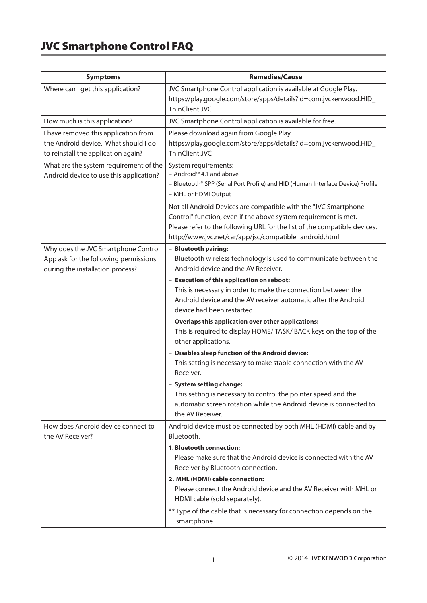## JVC Smartphone Control FAQ

| <b>Symptoms</b>                                                                                                     | <b>Remedies/Cause</b>                                                                                                                                                                                                                                                     |
|---------------------------------------------------------------------------------------------------------------------|---------------------------------------------------------------------------------------------------------------------------------------------------------------------------------------------------------------------------------------------------------------------------|
| Where can I get this application?                                                                                   | JVC Smartphone Control application is available at Google Play.<br>https://play.google.com/store/apps/details?id=com.jvckenwood.HID_<br>ThinClient.JVC                                                                                                                    |
| How much is this application?                                                                                       | JVC Smartphone Control application is available for free.                                                                                                                                                                                                                 |
| I have removed this application from<br>the Android device. What should I do<br>to reinstall the application again? | Please download again from Google Play.<br>https://play.google.com/store/apps/details?id=com.jvckenwood.HID_<br>ThinClient.JVC                                                                                                                                            |
| What are the system requirement of the<br>Android device to use this application?                                   | System requirements:<br>- Android™ 4.1 and above<br>- Bluetooth® SPP (Serial Port Profile) and HID (Human Interface Device) Profile<br>- MHL or HDMI Output                                                                                                               |
|                                                                                                                     | Not all Android Devices are compatible with the "JVC Smartphone<br>Control" function, even if the above system requirement is met.<br>Please refer to the following URL for the list of the compatible devices.<br>http://www.jvc.net/car/app/jsc/compatible_android.html |
| Why does the JVC Smartphone Control<br>App ask for the following permissions<br>during the installation process?    | - Bluetooth pairing:<br>Bluetooth wireless technology is used to communicate between the<br>Android device and the AV Receiver.                                                                                                                                           |
|                                                                                                                     | - Execution of this application on reboot:<br>This is necessary in order to make the connection between the<br>Android device and the AV receiver automatic after the Android<br>device had been restarted.                                                               |
|                                                                                                                     | - Overlaps this application over other applications:<br>This is required to display HOME/ TASK/ BACK keys on the top of the<br>other applications.                                                                                                                        |
|                                                                                                                     | - Disables sleep function of the Android device:<br>This setting is necessary to make stable connection with the AV<br>Receiver.                                                                                                                                          |
|                                                                                                                     | - System setting change:<br>This setting is necessary to control the pointer speed and the<br>automatic screen rotation while the Android device is connected to<br>the AV Receiver.                                                                                      |
| How does Android device connect to<br>the AV Receiver?                                                              | Android device must be connected by both MHL (HDMI) cable and by<br>Bluetooth.                                                                                                                                                                                            |
|                                                                                                                     | 1. Bluetooth connection:<br>Please make sure that the Android device is connected with the AV<br>Receiver by Bluetooth connection.                                                                                                                                        |
|                                                                                                                     | 2. MHL (HDMI) cable connection:<br>Please connect the Android device and the AV Receiver with MHL or<br>HDMI cable (sold separately).                                                                                                                                     |
|                                                                                                                     | ** Type of the cable that is necessary for connection depends on the<br>smartphone.                                                                                                                                                                                       |